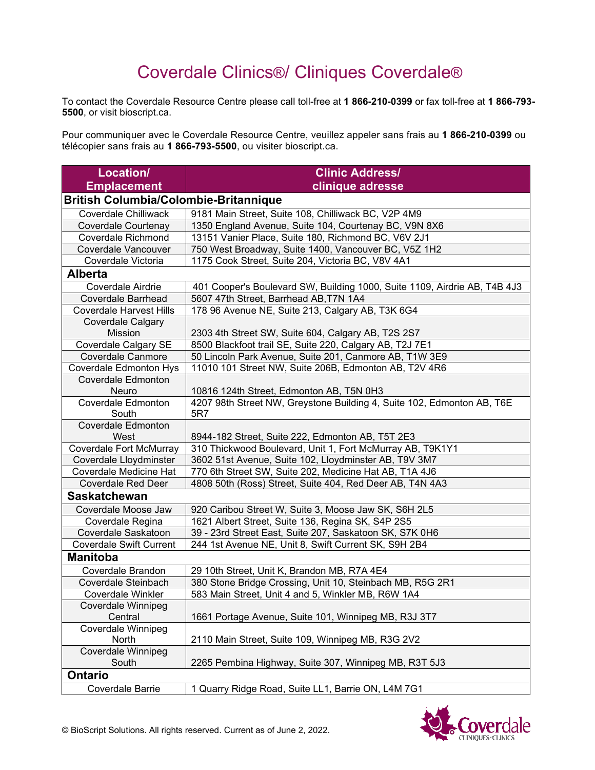## Coverdale Clinics®/ Cliniques Coverdale®

To contact the Coverdale Resource Centre please call toll-free at **1 866-210-0399** or fax toll-free at **1 866-793- 5500**, or visit bioscript.ca.

Pour communiquer avec le Coverdale Resource Centre, veuillez appeler sans frais au **1 866-210-0399** ou télécopier sans frais au **1 866-793-5500**, ou visiter bioscript.ca.

| Location/                                           | <b>Clinic Address/</b>                                                    |  |
|-----------------------------------------------------|---------------------------------------------------------------------------|--|
| <b>Emplacement</b>                                  | clinique adresse                                                          |  |
| <b>British Columbia/Colombie-Britannique</b>        |                                                                           |  |
| <b>Coverdale Chilliwack</b>                         | 9181 Main Street, Suite 108, Chilliwack BC, V2P 4M9                       |  |
| Coverdale Courtenay                                 | 1350 England Avenue, Suite 104, Courtenay BC, V9N 8X6                     |  |
| <b>Coverdale Richmond</b>                           | 13151 Vanier Place, Suite 180, Richmond BC, V6V 2J1                       |  |
| Coverdale Vancouver                                 | 750 West Broadway, Suite 1400, Vancouver BC, V5Z 1H2                      |  |
| Coverdale Victoria                                  | 1175 Cook Street, Suite 204, Victoria BC, V8V 4A1                         |  |
| <b>Alberta</b>                                      |                                                                           |  |
| Coverdale Airdrie                                   | 401 Cooper's Boulevard SW, Building 1000, Suite 1109, Airdrie AB, T4B 4J3 |  |
| <b>Coverdale Barrhead</b>                           | 5607 47th Street, Barrhead AB, T7N 1A4                                    |  |
| <b>Coverdale Harvest Hills</b>                      | 178 96 Avenue NE, Suite 213, Calgary AB, T3K 6G4                          |  |
| Coverdale Calgary                                   |                                                                           |  |
| <b>Mission</b>                                      | 2303 4th Street SW, Suite 604, Calgary AB, T2S 2S7                        |  |
| <b>Coverdale Calgary SE</b>                         | 8500 Blackfoot trail SE, Suite 220, Calgary AB, T2J 7E1                   |  |
| <b>Coverdale Canmore</b>                            | 50 Lincoln Park Avenue, Suite 201, Canmore AB, T1W 3E9                    |  |
| <b>Coverdale Edmonton Hys</b>                       | 11010 101 Street NW, Suite 206B, Edmonton AB, T2V 4R6                     |  |
| Coverdale Edmonton                                  |                                                                           |  |
| Neuro                                               | 10816 124th Street, Edmonton AB, T5N 0H3                                  |  |
| <b>Coverdale Edmonton</b>                           | 4207 98th Street NW, Greystone Building 4, Suite 102, Edmonton AB, T6E    |  |
| South                                               | 5R7                                                                       |  |
| <b>Coverdale Edmonton</b>                           |                                                                           |  |
| West                                                | 8944-182 Street, Suite 222, Edmonton AB, T5T 2E3                          |  |
| Coverdale Fort McMurray                             | 310 Thickwood Boulevard, Unit 1, Fort McMurray AB, T9K1Y1                 |  |
| Coverdale Lloydminster                              | 3602 51st Avenue, Suite 102, Lloydminster AB, T9V 3M7                     |  |
| Coverdale Medicine Hat<br><b>Coverdale Red Deer</b> | 770 6th Street SW, Suite 202, Medicine Hat AB, T1A 4J6                    |  |
|                                                     | 4808 50th (Ross) Street, Suite 404, Red Deer AB, T4N 4A3                  |  |
| <b>Saskatchewan</b>                                 |                                                                           |  |
| Coverdale Moose Jaw                                 | 920 Caribou Street W, Suite 3, Moose Jaw SK, S6H 2L5                      |  |
| Coverdale Regina                                    | 1621 Albert Street, Suite 136, Regina SK, S4P 2S5                         |  |
| Coverdale Saskatoon                                 | 39 - 23rd Street East, Suite 207, Saskatoon SK, S7K 0H6                   |  |
| <b>Coverdale Swift Current</b>                      | 244 1st Avenue NE, Unit 8, Swift Current SK, S9H 2B4                      |  |
| <b>Manitoba</b>                                     |                                                                           |  |
| Coverdale Brandon                                   | 29 10th Street, Unit K, Brandon MB, R7A 4E4                               |  |
| Coverdale Steinbach                                 | 380 Stone Bridge Crossing, Unit 10, Steinbach MB, R5G 2R1                 |  |
| <b>Coverdale Winkler</b>                            | 583 Main Street, Unit 4 and 5, Winkler MB, R6W 1A4                        |  |
| <b>Coverdale Winnipeg</b>                           |                                                                           |  |
| Central                                             | 1661 Portage Avenue, Suite 101, Winnipeg MB, R3J 3T7                      |  |
| Coverdale Winnipeg                                  |                                                                           |  |
| North                                               | 2110 Main Street, Suite 109, Winnipeg MB, R3G 2V2                         |  |
| <b>Coverdale Winnipeg</b><br>South                  | 2265 Pembina Highway, Suite 307, Winnipeg MB, R3T 5J3                     |  |
|                                                     |                                                                           |  |
| <b>Ontario</b>                                      |                                                                           |  |
| Coverdale Barrie                                    | 1 Quarry Ridge Road, Suite LL1, Barrie ON, L4M 7G1                        |  |

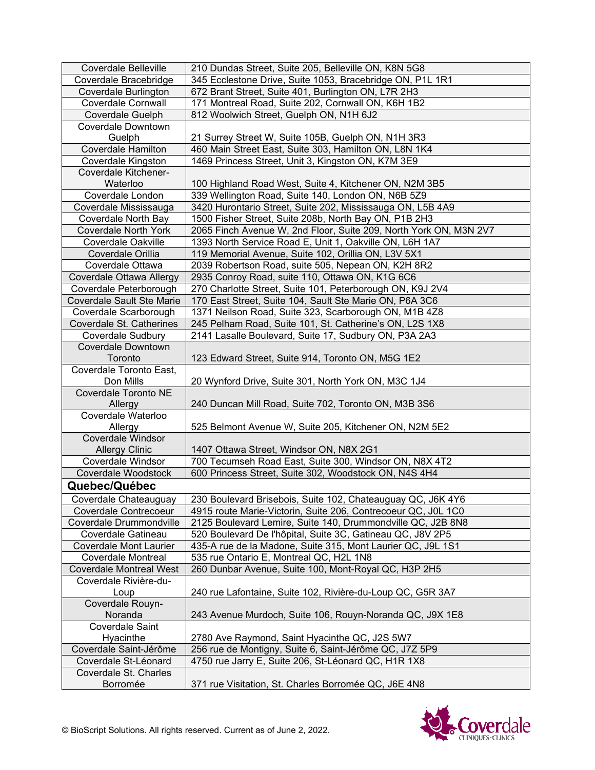| <b>Coverdale Belleville</b>      | 210 Dundas Street, Suite 205, Belleville ON, K8N 5G8              |
|----------------------------------|-------------------------------------------------------------------|
| Coverdale Bracebridge            | 345 Ecclestone Drive, Suite 1053, Bracebridge ON, P1L 1R1         |
| <b>Coverdale Burlington</b>      | 672 Brant Street, Suite 401, Burlington ON, L7R 2H3               |
| <b>Coverdale Cornwall</b>        | 171 Montreal Road, Suite 202, Cornwall ON, K6H 1B2                |
| Coverdale Guelph                 | 812 Woolwich Street, Guelph ON, N1H 6J2                           |
| <b>Coverdale Downtown</b>        |                                                                   |
| Guelph                           | 21 Surrey Street W, Suite 105B, Guelph ON, N1H 3R3                |
| <b>Coverdale Hamilton</b>        | 460 Main Street East, Suite 303, Hamilton ON, L8N 1K4             |
| Coverdale Kingston               | 1469 Princess Street, Unit 3, Kingston ON, K7M 3E9                |
| Coverdale Kitchener-             |                                                                   |
| Waterloo                         | 100 Highland Road West, Suite 4, Kitchener ON, N2M 3B5            |
| Coverdale London                 | 339 Wellington Road, Suite 140, London ON, N6B 5Z9                |
| Coverdale Mississauga            | 3420 Hurontario Street, Suite 202, Mississauga ON, L5B 4A9        |
| Coverdale North Bay              | 1500 Fisher Street, Suite 208b, North Bay ON, P1B 2H3             |
| <b>Coverdale North York</b>      | 2065 Finch Avenue W, 2nd Floor, Suite 209, North York ON, M3N 2V7 |
| Coverdale Oakville               | 1393 North Service Road E, Unit 1, Oakville ON, L6H 1A7           |
| Coverdale Orillia                | 119 Memorial Avenue, Suite 102, Orillia ON, L3V 5X1               |
| Coverdale Ottawa                 | 2039 Robertson Road, suite 505, Nepean ON, K2H 8R2                |
| Coverdale Ottawa Allergy         | 2935 Conroy Road, suite 110, Ottawa ON, K1G 6C6                   |
| Coverdale Peterborough           | 270 Charlotte Street, Suite 101, Peterborough ON, K9J 2V4         |
| <b>Coverdale Sault Ste Marie</b> | 170 East Street, Suite 104, Sault Ste Marie ON, P6A 3C6           |
| Coverdale Scarborough            | 1371 Neilson Road, Suite 323, Scarborough ON, M1B 4Z8             |
| Coverdale St. Catherines         | 245 Pelham Road, Suite 101, St. Catherine's ON, L2S 1X8           |
| <b>Coverdale Sudbury</b>         | 2141 Lasalle Boulevard, Suite 17, Sudbury ON, P3A 2A3             |
| <b>Coverdale Downtown</b>        |                                                                   |
| Toronto                          | 123 Edward Street, Suite 914, Toronto ON, M5G 1E2                 |
| Coverdale Toronto East,          |                                                                   |
| Don Mills                        | 20 Wynford Drive, Suite 301, North York ON, M3C 1J4               |
| Coverdale Toronto NE             |                                                                   |
| Allergy                          | 240 Duncan Mill Road, Suite 702, Toronto ON, M3B 3S6              |
| Coverdale Waterloo               |                                                                   |
| Allergy                          | 525 Belmont Avenue W, Suite 205, Kitchener ON, N2M 5E2            |
| <b>Coverdale Windsor</b>         |                                                                   |
| <b>Allergy Clinic</b>            | 1407 Ottawa Street, Windsor ON, N8X 2G1                           |
| Coverdale Windsor                | 700 Tecumseh Road East, Suite 300, Windsor ON, N8X 4T2            |
| Coverdale Woodstock              | 600 Princess Street, Suite 302, Woodstock ON, N4S 4H4             |
| Quebec/Québec                    |                                                                   |
| Coverdale Chateauguay            | 230 Boulevard Brisebois, Suite 102, Chateauguay QC, J6K 4Y6       |
| Coverdale Contrecoeur            | 4915 route Marie-Victorin, Suite 206, Contrecoeur QC, J0L 1C0     |
| Coverdale Drummondville          | 2125 Boulevard Lemire, Suite 140, Drummondville QC, J2B 8N8       |
| Coverdale Gatineau               | 520 Boulevard De l'hôpital, Suite 3C, Gatineau QC, J8V 2P5        |
| Coverdale Mont Laurier           | 435-A rue de la Madone, Suite 315, Mont Laurier QC, J9L 1S1       |
| <b>Coverdale Montreal</b>        | 535 rue Ontario E, Montreal QC, H2L 1N8                           |
| <b>Coverdale Montreal West</b>   | 260 Dunbar Avenue, Suite 100, Mont-Royal QC, H3P 2H5              |
| Coverdale Rivière-du-            |                                                                   |
| Loup                             | 240 rue Lafontaine, Suite 102, Rivière-du-Loup QC, G5R 3A7        |
| Coverdale Rouyn-                 |                                                                   |
| Noranda                          | 243 Avenue Murdoch, Suite 106, Rouyn-Noranda QC, J9X 1E8          |
| Coverdale Saint                  |                                                                   |
| Hyacinthe                        | 2780 Ave Raymond, Saint Hyacinthe QC, J2S 5W7                     |
| Coverdale Saint-Jérôme           | 256 rue de Montigny, Suite 6, Saint-Jérôme QC, J7Z 5P9            |
| Coverdale St-Léonard             | 4750 rue Jarry E, Suite 206, St-Léonard QC, H1R 1X8               |
| Coverdale St. Charles            |                                                                   |
| Borromée                         | 371 rue Visitation, St. Charles Borromée QC, J6E 4N8              |